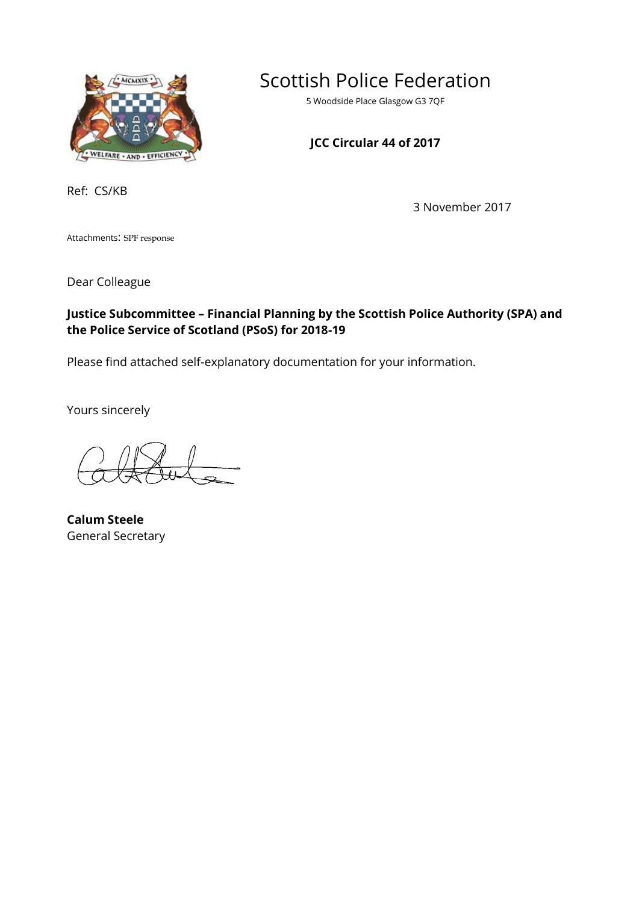

Scottish Police Federation

5 Woodside Place Glasgow G3 7QF

# **JCC Circular 44 of 2017**

Ref: CS/KB

3 November 2017

Attachments: SPF response

Dear Colleague

## **Justice Subcommittee – Financial Planning by the Scottish Police Authority (SPA) and the Police Service of Scotland (PSoS) for 2018-19**

Please find attached self-explanatory documentation for your information.

Yours sincerely

**Calum Steele** General Secretary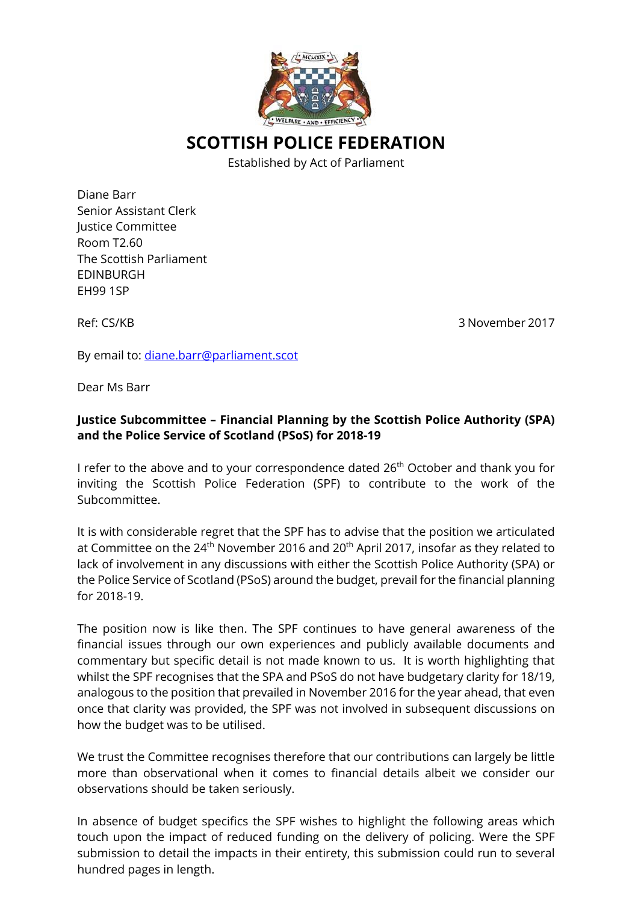

**SCOTTISH POLICE FEDERATION** 

Established by Act of Parliament

Diane Barr Senior Assistant Clerk Justice Committee Room T2.60 The Scottish Parliament EDINBURGH EH99 1SP

Ref: CS/KB 3 November 2017

By email to: diane.barr@parliament.scot

Dear Ms Barr

## **Justice Subcommittee – Financial Planning by the Scottish Police Authority (SPA) and the Police Service of Scotland (PSoS) for 2018-19**

I refer to the above and to your correspondence dated  $26<sup>th</sup>$  October and thank you for inviting the Scottish Police Federation (SPF) to contribute to the work of the Subcommittee.

It is with considerable regret that the SPF has to advise that the position we articulated at Committee on the  $24<sup>th</sup>$  November 2016 and 20<sup>th</sup> April 2017, insofar as they related to lack of involvement in any discussions with either the Scottish Police Authority (SPA) or the Police Service of Scotland (PSoS) around the budget, prevail for the financial planning for 2018-19.

The position now is like then. The SPF continues to have general awareness of the financial issues through our own experiences and publicly available documents and commentary but specific detail is not made known to us. It is worth highlighting that whilst the SPF recognises that the SPA and PSoS do not have budgetary clarity for 18/19, analogous to the position that prevailed in November 2016 for the year ahead, that even once that clarity was provided, the SPF was not involved in subsequent discussions on how the budget was to be utilised.

We trust the Committee recognises therefore that our contributions can largely be little more than observational when it comes to financial details albeit we consider our observations should be taken seriously.

In absence of budget specifics the SPF wishes to highlight the following areas which touch upon the impact of reduced funding on the delivery of policing. Were the SPF submission to detail the impacts in their entirety, this submission could run to several hundred pages in length.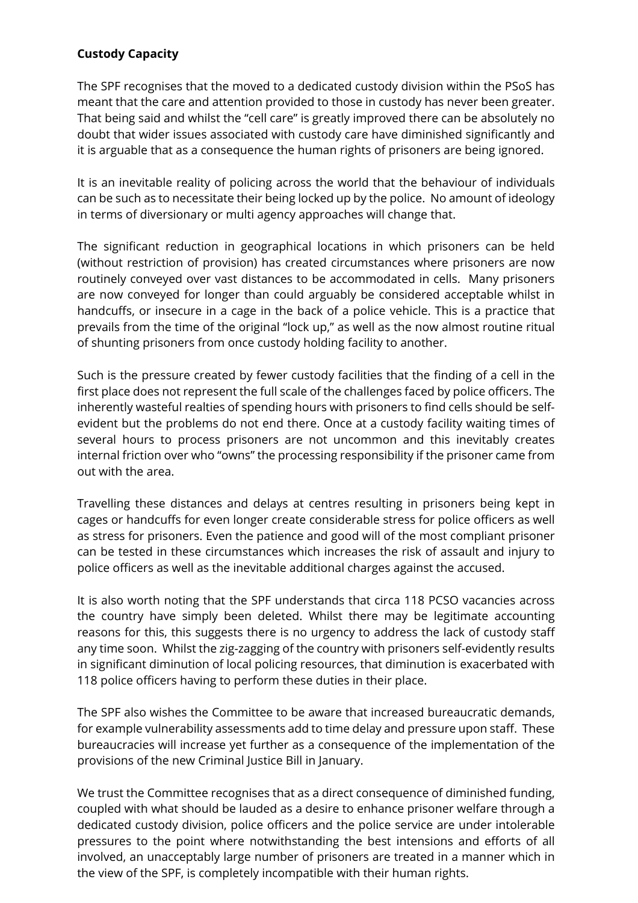## **Custody Capacity**

The SPF recognises that the moved to a dedicated custody division within the PSoS has meant that the care and attention provided to those in custody has never been greater. That being said and whilst the "cell care" is greatly improved there can be absolutely no doubt that wider issues associated with custody care have diminished significantly and it is arguable that as a consequence the human rights of prisoners are being ignored.

It is an inevitable reality of policing across the world that the behaviour of individuals can be such as to necessitate their being locked up by the police. No amount of ideology in terms of diversionary or multi agency approaches will change that.

The significant reduction in geographical locations in which prisoners can be held (without restriction of provision) has created circumstances where prisoners are now routinely conveyed over vast distances to be accommodated in cells. Many prisoners are now conveyed for longer than could arguably be considered acceptable whilst in handcuffs, or insecure in a cage in the back of a police vehicle. This is a practice that prevails from the time of the original "lock up," as well as the now almost routine ritual of shunting prisoners from once custody holding facility to another.

Such is the pressure created by fewer custody facilities that the finding of a cell in the first place does not represent the full scale of the challenges faced by police officers. The inherently wasteful realties of spending hours with prisoners to find cells should be selfevident but the problems do not end there. Once at a custody facility waiting times of several hours to process prisoners are not uncommon and this inevitably creates internal friction over who "owns" the processing responsibility if the prisoner came from out with the area.

Travelling these distances and delays at centres resulting in prisoners being kept in cages or handcuffs for even longer create considerable stress for police officers as well as stress for prisoners. Even the patience and good will of the most compliant prisoner can be tested in these circumstances which increases the risk of assault and injury to police officers as well as the inevitable additional charges against the accused.

It is also worth noting that the SPF understands that circa 118 PCSO vacancies across the country have simply been deleted. Whilst there may be legitimate accounting reasons for this, this suggests there is no urgency to address the lack of custody staff any time soon. Whilst the zig-zagging of the country with prisoners self-evidently results in significant diminution of local policing resources, that diminution is exacerbated with 118 police officers having to perform these duties in their place.

The SPF also wishes the Committee to be aware that increased bureaucratic demands, for example vulnerability assessments add to time delay and pressure upon staff. These bureaucracies will increase yet further as a consequence of the implementation of the provisions of the new Criminal Justice Bill in January.

We trust the Committee recognises that as a direct consequence of diminished funding, coupled with what should be lauded as a desire to enhance prisoner welfare through a dedicated custody division, police officers and the police service are under intolerable pressures to the point where notwithstanding the best intensions and efforts of all involved, an unacceptably large number of prisoners are treated in a manner which in the view of the SPF, is completely incompatible with their human rights.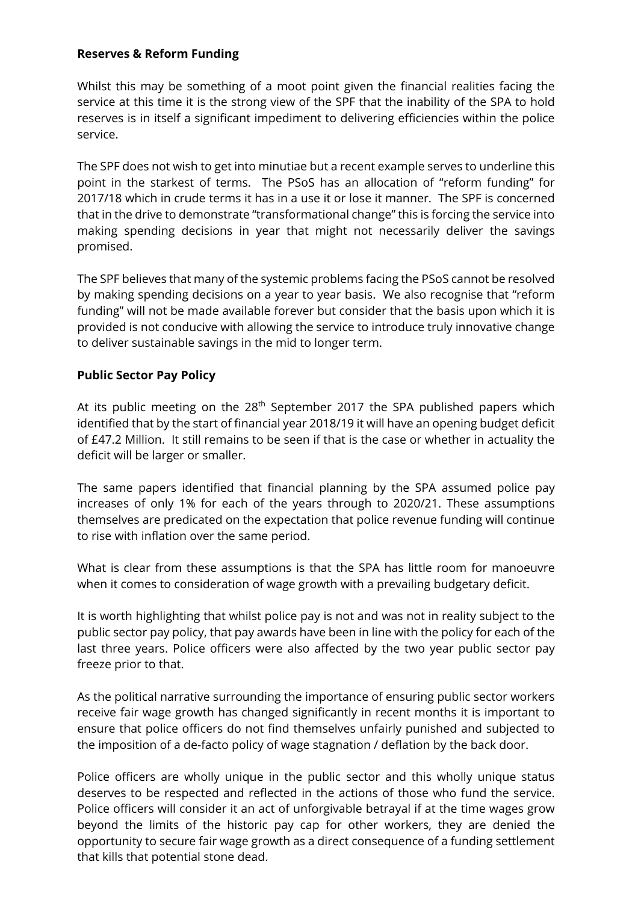#### **Reserves & Reform Funding**

Whilst this may be something of a moot point given the financial realities facing the service at this time it is the strong view of the SPF that the inability of the SPA to hold reserves is in itself a significant impediment to delivering efficiencies within the police service.

The SPF does not wish to get into minutiae but a recent example serves to underline this point in the starkest of terms. The PSoS has an allocation of "reform funding" for 2017/18 which in crude terms it has in a use it or lose it manner. The SPF is concerned that in the drive to demonstrate "transformational change" this is forcing the service into making spending decisions in year that might not necessarily deliver the savings promised.

The SPF believes that many of the systemic problems facing the PSoS cannot be resolved by making spending decisions on a year to year basis. We also recognise that "reform funding" will not be made available forever but consider that the basis upon which it is provided is not conducive with allowing the service to introduce truly innovative change to deliver sustainable savings in the mid to longer term.

#### **Public Sector Pay Policy**

At its public meeting on the  $28<sup>th</sup>$  September 2017 the SPA published papers which identified that by the start of financial year 2018/19 it will have an opening budget deficit of £47.2 Million. It still remains to be seen if that is the case or whether in actuality the deficit will be larger or smaller.

The same papers identified that financial planning by the SPA assumed police pay increases of only 1% for each of the years through to 2020/21. These assumptions themselves are predicated on the expectation that police revenue funding will continue to rise with inflation over the same period.

What is clear from these assumptions is that the SPA has little room for manoeuvre when it comes to consideration of wage growth with a prevailing budgetary deficit.

It is worth highlighting that whilst police pay is not and was not in reality subject to the public sector pay policy, that pay awards have been in line with the policy for each of the last three years. Police officers were also affected by the two year public sector pay freeze prior to that.

As the political narrative surrounding the importance of ensuring public sector workers receive fair wage growth has changed significantly in recent months it is important to ensure that police officers do not find themselves unfairly punished and subjected to the imposition of a de-facto policy of wage stagnation / deflation by the back door.

Police officers are wholly unique in the public sector and this wholly unique status deserves to be respected and reflected in the actions of those who fund the service. Police officers will consider it an act of unforgivable betrayal if at the time wages grow beyond the limits of the historic pay cap for other workers, they are denied the opportunity to secure fair wage growth as a direct consequence of a funding settlement that kills that potential stone dead.